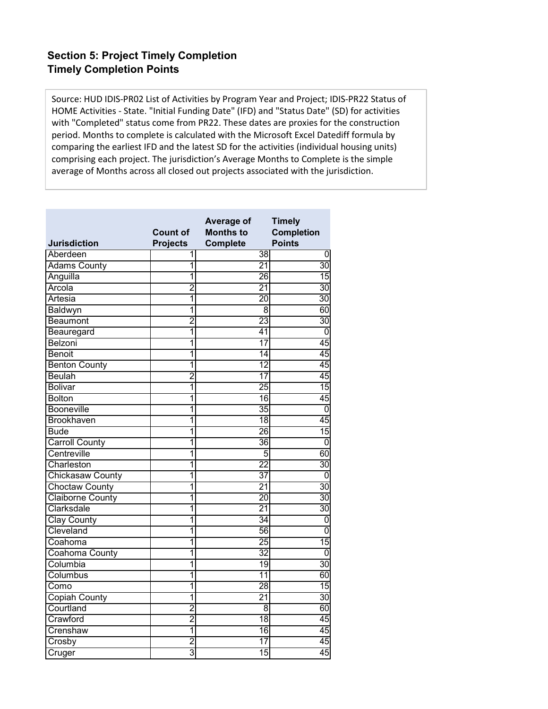Source: HUD IDIS‐PR02 List of Activities by Program Year and Project; IDIS‐PR22 Status of HOME Activities ‐ State. "Initial Funding Date" (IFD) and "Status Date" (SD) for activities with "Completed" status come from PR22. These dates are proxies for the construction period. Months to complete is calculated with the Microsoft Excel Datediff formula by comparing the earliest IFD and the latest SD for the activities (individual housing units) comprising each project. The jurisdiction's Average Months to Complete is the simple average of Months across all closed out projects associated with the jurisdiction.

| <b>Jurisdiction</b>     | <b>Count of</b><br><b>Projects</b> | Average of<br><b>Months to</b><br><b>Complete</b> | <b>Timely</b><br><b>Completion</b><br><b>Points</b> |
|-------------------------|------------------------------------|---------------------------------------------------|-----------------------------------------------------|
| Aberdeen                | 1                                  | 38                                                | 0                                                   |
| <b>Adams County</b>     | 1                                  | $\overline{21}$                                   | $\overline{30}$                                     |
| Anguilla                | 1                                  | 26                                                | $\overline{15}$                                     |
| Arcola                  | $\overline{2}$                     | $\overline{21}$                                   | $\overline{30}$                                     |
| <b>Artesia</b>          | 1                                  | $\overline{20}$                                   | $\overline{30}$                                     |
| Baldwyn                 | $\overline{\mathbf{1}}$            | $\overline{8}$                                    | 60                                                  |
| Beaumont                | $\overline{2}$                     | $\overline{23}$                                   | $\overline{30}$                                     |
| Beauregard              | 1                                  | $\overline{41}$                                   | $\overline{0}$                                      |
| Belzoni                 | 1                                  | $\overline{17}$                                   | 45                                                  |
| <b>Benoit</b>           | 1                                  | $\overline{14}$                                   | 45                                                  |
| <b>Benton County</b>    | 1                                  | $\overline{12}$                                   | 45                                                  |
| <b>Beulah</b>           | $\overline{2}$                     | $\overline{17}$                                   | 45                                                  |
| <b>Bolivar</b>          | $\overline{\mathbf{1}}$            | $\overline{25}$                                   | $\overline{15}$                                     |
| <b>Bolton</b>           | 1                                  | $\overline{16}$                                   | 45                                                  |
| <b>Booneville</b>       | 1                                  | 35                                                | $\overline{0}$                                      |
| <b>Brookhaven</b>       | 1                                  | $\overline{18}$                                   | 45                                                  |
| <b>Bude</b>             | 1                                  | 26                                                | $\overline{15}$                                     |
| <b>Carroll County</b>   | 1                                  | 36                                                | $\overline{0}$                                      |
| Centreville             | 1                                  | 5                                                 | 60                                                  |
| Charleston              | 1                                  | $\overline{22}$                                   | $\overline{30}$                                     |
| <b>Chickasaw County</b> | 1                                  | $\overline{37}$                                   | $\overline{0}$                                      |
| <b>Choctaw County</b>   | 1                                  | $\overline{21}$                                   | $\overline{30}$                                     |
| <b>Claiborne County</b> | 1                                  | $\overline{20}$                                   | $\overline{30}$                                     |
| Clarksdale              | 1                                  | $\overline{21}$                                   | $\overline{30}$                                     |
| Clay County             | 1                                  | 34                                                | $\overline{0}$                                      |
| Cleveland               | 1                                  | 56                                                | $\overline{0}$                                      |
| Coahoma                 | $\overline{\mathbf{1}}$            | $\overline{25}$                                   | $\overline{15}$                                     |
| Coahoma County          | 1                                  | $\overline{32}$                                   | $\overline{0}$                                      |
| Columbia                | 1                                  | $\overline{19}$                                   | $\overline{30}$                                     |
| Columbus                | $\overline{1}$                     | $\overline{11}$                                   | 60                                                  |
| Como                    | 1                                  | $\overline{28}$                                   | $\overline{15}$                                     |
| <b>Copiah County</b>    | 1                                  | $\overline{21}$                                   | $\overline{30}$                                     |
| Courtland               | $\overline{2}$                     | $\overline{8}$                                    | 60                                                  |
| Crawford                | $\overline{2}$                     | $\overline{18}$                                   | 45                                                  |
| Crenshaw                | 1                                  | $\overline{16}$                                   | 45                                                  |
| Crosby                  | $\overline{2}$                     | $\overline{17}$                                   | 45                                                  |
| Cruger                  | 3                                  | 15                                                | 45                                                  |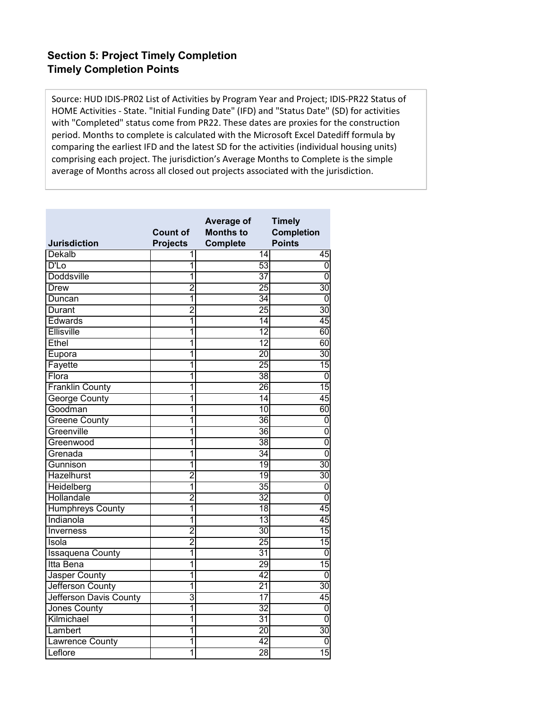Source: HUD IDIS‐PR02 List of Activities by Program Year and Project; IDIS‐PR22 Status of HOME Activities ‐ State. "Initial Funding Date" (IFD) and "Status Date" (SD) for activities with "Completed" status come from PR22. These dates are proxies for the construction period. Months to complete is calculated with the Microsoft Excel Datediff formula by comparing the earliest IFD and the latest SD for the activities (individual housing units) comprising each project. The jurisdiction's Average Months to Complete is the simple average of Months across all closed out projects associated with the jurisdiction.

| <b>Jurisdiction</b>     | <b>Count of</b><br><b>Projects</b> | Average of<br><b>Months to</b><br><b>Complete</b> | <b>Timely</b><br><b>Completion</b><br><b>Points</b> |
|-------------------------|------------------------------------|---------------------------------------------------|-----------------------------------------------------|
| Dekalb                  | 1                                  | $\overline{14}$                                   | 45                                                  |
| $\overline{D'D}$        | 1                                  | 53                                                | $\overline{0}$                                      |
| <b>Doddsville</b>       | 1                                  | $\overline{37}$                                   | $\overline{0}$                                      |
| <b>Drew</b>             | $\overline{2}$                     | $\overline{25}$                                   | $\overline{30}$                                     |
| Duncan                  | 1                                  | $\overline{34}$                                   | $\overline{0}$                                      |
| <b>Durant</b>           | $\overline{2}$                     | $\overline{25}$                                   | $\overline{30}$                                     |
| Edwards                 | 1                                  | $\overline{14}$                                   | 45                                                  |
| Ellisville              | 1                                  | $\overline{12}$                                   | 60                                                  |
| Ethel                   | 1                                  | $\overline{12}$                                   | 60                                                  |
| Eupora                  | 1                                  | $\overline{20}$                                   | $\overline{30}$                                     |
| Fayette                 | 1                                  | $\overline{25}$                                   | $\overline{15}$                                     |
| Flora                   | 1                                  | 38                                                | $\overline{0}$                                      |
| <b>Franklin County</b>  | 1                                  | $\overline{26}$                                   | 15                                                  |
| <b>George County</b>    | 1                                  | $\overline{14}$                                   | 45                                                  |
| Goodman                 | 1                                  | $\overline{10}$                                   | 60                                                  |
| <b>Greene County</b>    | 1                                  | 36                                                | 0                                                   |
| Greenville              | 1                                  | 36                                                | $\overline{0}$                                      |
| Greenwood               | 1                                  | 38                                                | $\overline{0}$                                      |
| Grenada                 | $\overline{\mathbf{1}}$            | $\overline{34}$                                   | $\overline{0}$                                      |
| Gunnison                | 1                                  | 19                                                | $\overline{30}$                                     |
| Hazelhurst              | $\overline{2}$                     | $\overline{19}$                                   | $\overline{30}$                                     |
| Heidelberg              | 1                                  | $\overline{35}$                                   | $\overline{0}$                                      |
| Hollandale              | $\overline{2}$                     | $\overline{32}$                                   | $\overline{0}$                                      |
| <b>Humphreys County</b> | 1                                  | $\overline{18}$                                   | 45                                                  |
| Indianola               | 1                                  | $\overline{13}$                                   | 45                                                  |
| Inverness               | 2                                  | $\overline{30}$                                   | $\overline{15}$                                     |
| Isola                   | $\overline{2}$                     | $\overline{25}$                                   | 15                                                  |
| <b>Issaquena County</b> | 1                                  | $\overline{31}$                                   | $\overline{0}$                                      |
| Itta Bena               | 1                                  | $\overline{29}$                                   | 15                                                  |
| Jasper County           | $\overline{1}$                     | 42                                                | $\overline{0}$                                      |
| Jefferson County        | $\overline{1}$                     | $\overline{21}$                                   | $\overline{30}$                                     |
| Jefferson Davis County  | 3                                  | $\overline{17}$                                   | 45                                                  |
| <b>Jones County</b>     | 1                                  | $\overline{32}$                                   | $\overline{0}$                                      |
| Kilmichael              | 1                                  | $\overline{31}$                                   | $\overline{0}$                                      |
| Lambert                 | 1                                  | $\overline{20}$                                   | $\overline{30}$                                     |
| <b>Lawrence County</b>  | 1                                  | 42                                                | $\overline{0}$                                      |
| Leflore                 | 1                                  | 28                                                | 15                                                  |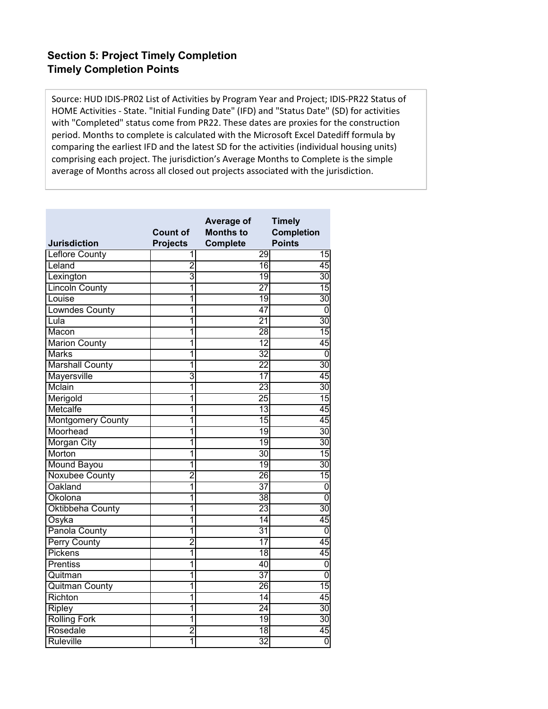Source: HUD IDIS‐PR02 List of Activities by Program Year and Project; IDIS‐PR22 Status of HOME Activities ‐ State. "Initial Funding Date" (IFD) and "Status Date" (SD) for activities with "Completed" status come from PR22. These dates are proxies for the construction period. Months to complete is calculated with the Microsoft Excel Datediff formula by comparing the earliest IFD and the latest SD for the activities (individual housing units) comprising each project. The jurisdiction's Average Months to Complete is the simple average of Months across all closed out projects associated with the jurisdiction.

| <b>Jurisdiction</b>      | <b>Count of</b><br><b>Projects</b> | Average of<br><b>Months to</b><br><b>Complete</b> | <b>Timely</b><br><b>Completion</b><br><b>Points</b> |
|--------------------------|------------------------------------|---------------------------------------------------|-----------------------------------------------------|
| <b>Leflore County</b>    | 1                                  | 29                                                | 15                                                  |
| Leland                   | $\overline{2}$                     | 16                                                | 45                                                  |
| Lexington                | 3                                  | 19                                                | 30                                                  |
| <b>Lincoln County</b>    | 1                                  | $\overline{27}$                                   | 15                                                  |
| Louise                   | 1                                  | $\overline{19}$                                   | $\overline{30}$                                     |
| <b>Lowndes County</b>    | 1                                  | $\overline{47}$                                   | 0                                                   |
| Lula                     | 1                                  | $\overline{21}$                                   | $\overline{30}$                                     |
| Macon                    | 1                                  | $\overline{28}$                                   | $\overline{15}$                                     |
| <b>Marion County</b>     | 1                                  | $\overline{12}$                                   | 45                                                  |
| <b>Marks</b>             | 1                                  | $\overline{32}$                                   | $\overline{0}$                                      |
| Marshall County          | 1                                  | $\overline{22}$                                   | $\overline{30}$                                     |
| <b>Mayersville</b>       | 3                                  | $\overline{17}$                                   | 45                                                  |
| Mclain                   | 1                                  | $\overline{23}$                                   | $\overline{30}$                                     |
| Merigold                 | 1                                  | $\overline{25}$                                   | 15                                                  |
| Metcalfe                 | 1                                  | 13                                                | 45                                                  |
| <b>Montgomery County</b> | 1                                  | $\overline{15}$                                   | 45                                                  |
| Moorhead                 | 1                                  | 19                                                | $\overline{30}$                                     |
| Morgan City              | 1                                  | 19                                                | $\overline{30}$                                     |
| Morton                   | 1                                  | $\overline{30}$                                   | 15                                                  |
| <b>Mound Bayou</b>       | 1                                  | 19                                                | $\overline{30}$                                     |
| <b>Noxubee County</b>    | $\overline{2}$                     | 26                                                | 15                                                  |
| Oakland                  | 1                                  | $\overline{37}$                                   | $\overline{0}$                                      |
| Okolona                  | 1                                  | $\overline{38}$                                   | $\overline{0}$                                      |
| Oktibbeha County         | 1                                  | $\overline{23}$                                   | $\overline{30}$                                     |
| Osyka                    | 1                                  | $\overline{14}$                                   | 45                                                  |
| Panola County            | 1                                  | $\overline{31}$                                   | $\overline{0}$                                      |
| <b>Perry County</b>      | $\overline{2}$                     | $\overline{17}$                                   | 45                                                  |
| Pickens                  | 1                                  | $\overline{18}$                                   | 45                                                  |
| <b>Prentiss</b>          | $\overline{1}$                     | 40                                                | 0                                                   |
| Quitman                  | $\overline{1}$                     | $\overline{37}$                                   | $\overline{0}$                                      |
| <b>Quitman County</b>    | $\overline{1}$                     | $\overline{26}$                                   | 15                                                  |
| Richton                  | 1                                  | $\overline{14}$                                   | 45                                                  |
| <b>Ripley</b>            | 1                                  | $\overline{24}$                                   | $\overline{30}$                                     |
| <b>Rolling Fork</b>      | 1                                  | 19                                                | 30                                                  |
| Rosedale                 | $\overline{2}$                     | $\overline{18}$                                   | 45                                                  |
| Ruleville                | 1                                  | $\overline{32}$                                   | Ō                                                   |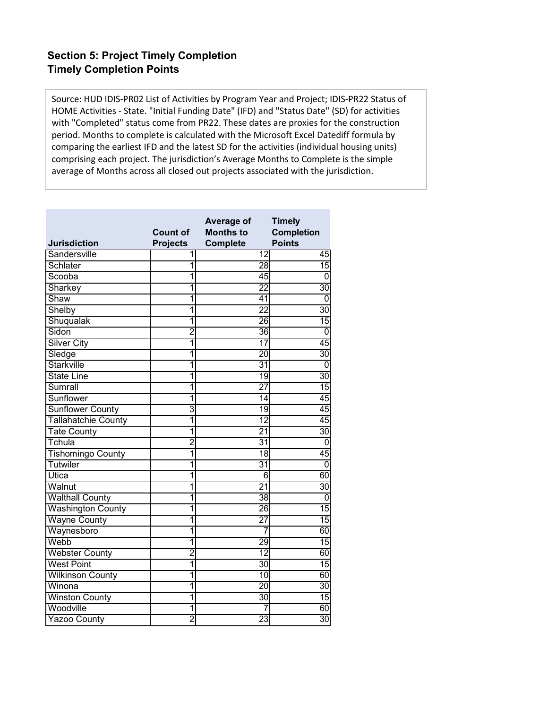Source: HUD IDIS‐PR02 List of Activities by Program Year and Project; IDIS‐PR22 Status of HOME Activities ‐ State. "Initial Funding Date" (IFD) and "Status Date" (SD) for activities with "Completed" status come from PR22. These dates are proxies for the construction period. Months to complete is calculated with the Microsoft Excel Datediff formula by comparing the earliest IFD and the latest SD for the activities (individual housing units) comprising each project. The jurisdiction's Average Months to Complete is the simple average of Months across all closed out projects associated with the jurisdiction.

| <b>Jurisdiction</b>        | <b>Count of</b><br><b>Projects</b> | Average of<br><b>Months to</b><br><b>Complete</b> | <b>Timely</b><br><b>Completion</b><br><b>Points</b> |
|----------------------------|------------------------------------|---------------------------------------------------|-----------------------------------------------------|
| Sandersville               | 1                                  | 12                                                | 45                                                  |
| Schlater                   | 1                                  | $\overline{28}$                                   | 15                                                  |
| Scooba                     | 1                                  | 45                                                | $\overline{0}$                                      |
| Sharkey                    | 1                                  | $\overline{22}$                                   | $\overline{30}$                                     |
| Shaw                       | 1                                  | 41                                                | $\overline{0}$                                      |
| Shelby                     | 1                                  | $\overline{22}$                                   | $\overline{30}$                                     |
| Shuqualak                  | 1                                  | $\overline{26}$                                   | $\overline{15}$                                     |
| Sidon                      | $\overline{2}$                     | $\overline{36}$                                   | $\overline{0}$                                      |
| <b>Silver City</b>         | $\overline{\mathbf{1}}$            | $\overline{17}$                                   | 45                                                  |
| Sledge                     | 1                                  | $\overline{20}$                                   | $\overline{30}$                                     |
| Starkville                 | 1                                  | $\overline{31}$                                   | $\overline{0}$                                      |
| <b>State Line</b>          | 1                                  | 19                                                | $\overline{30}$                                     |
| Sumrall                    | 1                                  | $\overline{27}$                                   | 15                                                  |
| Sunflower                  | 1                                  | $\overline{14}$                                   | 45                                                  |
| <b>Sunflower County</b>    | 3                                  | 19                                                | 45                                                  |
| <b>Tallahatchie County</b> | 1                                  | 12                                                | 45                                                  |
| <b>Tate County</b>         | 1                                  | $\overline{21}$                                   | $\overline{30}$                                     |
| Tchula                     | $\overline{2}$                     | $\overline{31}$                                   | $\overline{0}$                                      |
| <b>Tishomingo County</b>   | 1                                  | $\overline{18}$                                   | 45                                                  |
| Tutwiler                   | 1                                  | $\overline{31}$                                   | $\overline{0}$                                      |
| Utica                      | 1                                  | 6                                                 | 60                                                  |
| Walnut                     | $\overline{\mathbf{1}}$            | $\overline{21}$                                   | $\overline{30}$                                     |
| <b>Walthall County</b>     | 1                                  | $\overline{38}$                                   | $\mathbf 0$                                         |
| <b>Washington County</b>   | 1                                  | 26                                                | $\overline{15}$                                     |
| <b>Wayne County</b>        | 1                                  | $\overline{27}$                                   | 15                                                  |
| Waynesboro                 | 1                                  | 7                                                 | 60                                                  |
| Webb                       | 1                                  | 29                                                | 15                                                  |
| <b>Webster County</b>      | $\overline{2}$                     | $\overline{12}$                                   | 60                                                  |
| <b>West Point</b>          | $\overline{1}$                     | $\overline{30}$                                   | $\overline{15}$                                     |
| <b>Wilkinson County</b>    | $\overline{1}$                     | $\overline{10}$                                   | 60                                                  |
| Winona                     | $\overline{1}$                     | $\overline{20}$                                   | 30                                                  |
| <b>Winston County</b>      | 1                                  | $\overline{30}$                                   | 15                                                  |
| Woodville                  | 1                                  | 7                                                 | 60                                                  |
| <b>Yazoo County</b>        | $\overline{2}$                     | 23                                                | $\overline{30}$                                     |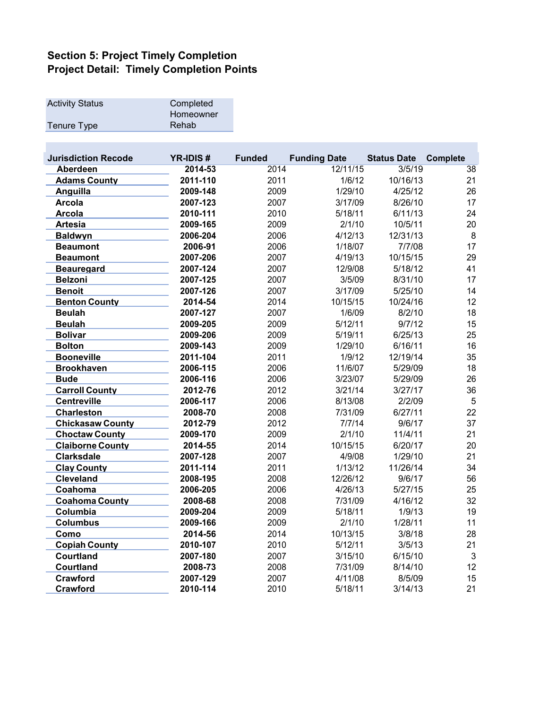| Completed<br>Homeowner |
|------------------------|
| Rehab                  |
|                        |

| <b>Jurisdiction Recode</b> | <b>YR-IDIS#</b> | <b>Funded</b> | <b>Funding Date</b> | <b>Status Date</b> | <b>Complete</b> |
|----------------------------|-----------------|---------------|---------------------|--------------------|-----------------|
| <b>Aberdeen</b>            | 2014-53         | 2014          | 12/11/15            | 3/5/19             | 38              |
| <b>Adams County</b>        | 2011-110        | 2011          | 1/6/12              | 10/16/13           | 21              |
| Anguilla                   | 2009-148        | 2009          | 1/29/10             | 4/25/12            | 26              |
| <b>Arcola</b>              | 2007-123        | 2007          | 3/17/09             | 8/26/10            | 17              |
| <b>Arcola</b>              | 2010-111        | 2010          | 5/18/11             | 6/11/13            | 24              |
| <b>Artesia</b>             | 2009-165        | 2009          | 2/1/10              | 10/5/11            | 20              |
| <b>Baldwyn</b>             | 2006-204        | 2006          | 4/12/13             | 12/31/13           | $\bf 8$         |
| <b>Beaumont</b>            | 2006-91         | 2006          | 1/18/07             | 7/7/08             | 17              |
| <b>Beaumont</b>            | 2007-206        | 2007          | 4/19/13             | 10/15/15           | 29              |
| <b>Beauregard</b>          | 2007-124        | 2007          | 12/9/08             | 5/18/12            | 41              |
| <b>Belzoni</b>             | 2007-125        | 2007          | 3/5/09              | 8/31/10            | 17              |
| <b>Benoit</b>              | 2007-126        | 2007          | 3/17/09             | 5/25/10            | 14              |
| <b>Benton County</b>       | 2014-54         | 2014          | 10/15/15            | 10/24/16           | 12              |
| <b>Beulah</b>              | 2007-127        | 2007          | 1/6/09              | 8/2/10             | 18              |
| <b>Beulah</b>              | 2009-205        | 2009          | 5/12/11             | 9/7/12             | 15              |
| <b>Bolivar</b>             | 2009-206        | 2009          | 5/19/11             | 6/25/13            | 25              |
| <b>Bolton</b>              | 2009-143        | 2009          | 1/29/10             | 6/16/11            | 16              |
| <b>Booneville</b>          | 2011-104        | 2011          | 1/9/12              | 12/19/14           | 35              |
| <b>Brookhaven</b>          | 2006-115        | 2006          | 11/6/07             | 5/29/09            | 18              |
| <b>Bude</b>                | 2006-116        | 2006          | 3/23/07             | 5/29/09            | 26              |
| <b>Carroll County</b>      | 2012-76         | 2012          | 3/21/14             | 3/27/17            | 36              |
| <b>Centreville</b>         | 2006-117        | 2006          | 8/13/08             | 2/2/09             | 5               |
| <b>Charleston</b>          | 2008-70         | 2008          | 7/31/09             | 6/27/11            | 22              |
| <b>Chickasaw County</b>    | 2012-79         | 2012          | 7/7/14              | 9/6/17             | 37              |
| <b>Choctaw County</b>      | 2009-170        | 2009          | 2/1/10              | 11/4/11            | 21              |
| <b>Claiborne County</b>    | 2014-55         | 2014          | 10/15/15            | 6/20/17            | 20              |
| <b>Clarksdale</b>          | 2007-128        | 2007          | 4/9/08              | 1/29/10            | 21              |
| <b>Clay County</b>         | 2011-114        | 2011          | 1/13/12             | 11/26/14           | 34              |
| <b>Cleveland</b>           | 2008-195        | 2008          | 12/26/12            | 9/6/17             | 56              |
| Coahoma                    | 2006-205        | 2006          | 4/26/13             | 5/27/15            | 25              |
| <b>Coahoma County</b>      | 2008-68         | 2008          | 7/31/09             | 4/16/12            | 32              |
| Columbia                   | 2009-204        | 2009          | 5/18/11             | 1/9/13             | 19              |
| <b>Columbus</b>            | 2009-166        | 2009          | 2/1/10              | 1/28/11            | 11              |
| Como                       | 2014-56         | 2014          | 10/13/15            | 3/8/18             | 28              |
| <b>Copiah County</b>       | 2010-107        | 2010          | 5/12/11             | 3/5/13             | 21              |
| Courtland                  | 2007-180        | 2007          | 3/15/10             | 6/15/10            | $\mathbf{3}$    |
| Courtland                  | 2008-73         | 2008          | 7/31/09             | 8/14/10            | 12              |
| Crawford                   | 2007-129        | 2007          | 4/11/08             | 8/5/09             | 15              |
| <b>Crawford</b>            | 2010-114        | 2010          | 5/18/11             | 3/14/13            | 21              |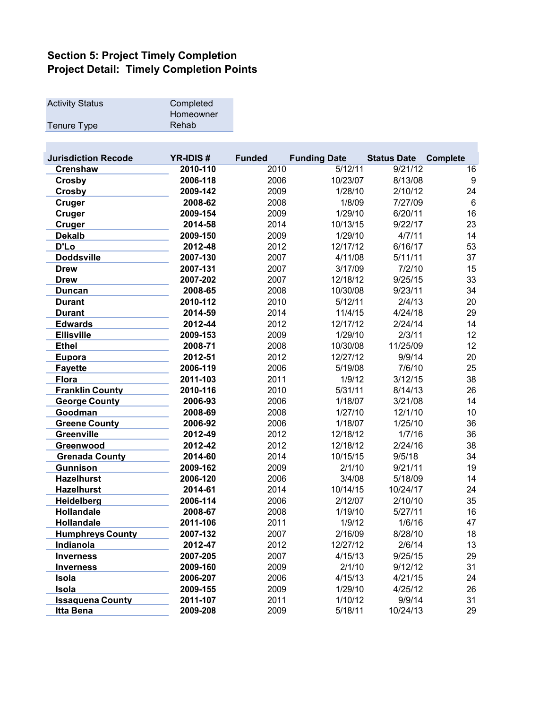| <b>Activity Status</b> | Completed |
|------------------------|-----------|
|                        | Homeowner |
| Tenure Type            | Rehab     |
|                        |           |

 $\mathcal{L}^{\text{max}}$ 

| <b>Jurisdiction Recode</b> | <b>YR-IDIS#</b> | <b>Funded</b> | <b>Funding Date</b> | <b>Status Date</b> | <b>Complete</b> |
|----------------------------|-----------------|---------------|---------------------|--------------------|-----------------|
| <b>Crenshaw</b>            | 2010-110        | 2010          | 5/12/11             | 9/21/12            | 16              |
| <b>Crosby</b>              | 2006-118        | 2006          | 10/23/07            | 8/13/08            | 9               |
| Crosby                     | 2009-142        | 2009          | 1/28/10             | 2/10/12            | 24              |
| <b>Cruger</b>              | 2008-62         | 2008          | 1/8/09              | 7/27/09            | $6\phantom{1}$  |
| Cruger                     | 2009-154        | 2009          | 1/29/10             | 6/20/11            | 16              |
| Cruger                     | 2014-58         | 2014          | 10/13/15            | 9/22/17            | 23              |
| <b>Dekalb</b>              | 2009-150        | 2009          | 1/29/10             | 4/7/11             | 14              |
| D'Lo                       | 2012-48         | 2012          | 12/17/12            | 6/16/17            | 53              |
| <b>Doddsville</b>          | 2007-130        | 2007          | 4/11/08             | 5/11/11            | 37              |
| <b>Drew</b>                | 2007-131        | 2007          | 3/17/09             | 7/2/10             | 15              |
| <b>Drew</b>                | 2007-202        | 2007          | 12/18/12            | 9/25/15            | 33              |
| Duncan                     | 2008-65         | 2008          | 10/30/08            | 9/23/11            | 34              |
| <b>Durant</b>              | 2010-112        | 2010          | 5/12/11             | 2/4/13             | 20              |
| <b>Durant</b>              | 2014-59         | 2014          | 11/4/15             | 4/24/18            | 29              |
| <b>Edwards</b>             | 2012-44         | 2012          | 12/17/12            | 2/24/14            | 14              |
| <b>Ellisville</b>          | 2009-153        | 2009          | 1/29/10             | 2/3/11             | 12              |
| <b>Ethel</b>               | 2008-71         | 2008          | 10/30/08            | 11/25/09           | 12              |
| Eupora                     | 2012-51         | 2012          | 12/27/12            | 9/9/14             | 20              |
| <b>Fayette</b>             | 2006-119        | 2006          | 5/19/08             | 7/6/10             | 25              |
| <b>Flora</b>               | 2011-103        | 2011          | 1/9/12              | 3/12/15            | 38              |
| <b>Franklin County</b>     | 2010-116        | 2010          | 5/31/11             | 8/14/13            | 26              |
| <b>George County</b>       | 2006-93         | 2006          | 1/18/07             | 3/21/08            | 14              |
| Goodman                    | 2008-69         | 2008          | 1/27/10             | 12/1/10            | 10              |
| <b>Greene County</b>       | 2006-92         | 2006          | 1/18/07             | 1/25/10            | 36              |
| Greenville                 | 2012-49         | 2012          | 12/18/12            | 1/7/16             | 36              |
| Greenwood                  | 2012-42         | 2012          | 12/18/12            | 2/24/16            | 38              |
| <b>Grenada County</b>      | 2014-60         | 2014          | 10/15/15            | 9/5/18             | 34              |
| <b>Gunnison</b>            | 2009-162        | 2009          | 2/1/10              | 9/21/11            | 19              |
| <b>Hazelhurst</b>          | 2006-120        | 2006          | 3/4/08              | 5/18/09            | 14              |
| <b>Hazelhurst</b>          | 2014-61         | 2014          | 10/14/15            | 10/24/17           | 24              |
| Heidelberg                 | 2006-114        | 2006          | 2/12/07             | 2/10/10            | 35              |
| <b>Hollandale</b>          | 2008-67         | 2008          | 1/19/10             | 5/27/11            | 16              |
| Hollandale                 | 2011-106        | 2011          | 1/9/12              | 1/6/16             | 47              |
| <b>Humphreys County</b>    | 2007-132        | 2007          | 2/16/09             | 8/28/10            | 18              |
| <b>Indianola</b>           | 2012-47         | 2012          | 12/27/12            | 2/6/14             | 13              |
| <b>Inverness</b>           | 2007-205        | 2007          | 4/15/13             | 9/25/15            | 29              |
| <b>Inverness</b>           | 2009-160        | 2009          | 2/1/10              | 9/12/12            | 31              |
| Isola                      | 2006-207        | 2006          | 4/15/13             | 4/21/15            | 24              |
| Isola                      | 2009-155        | 2009          | 1/29/10             | 4/25/12            | 26              |
| <b>Issaquena County</b>    | 2011-107        | 2011          | 1/10/12             | 9/9/14             | 31              |
| Itta Bena                  | 2009-208        | 2009          | 5/18/11             | 10/24/13           | 29              |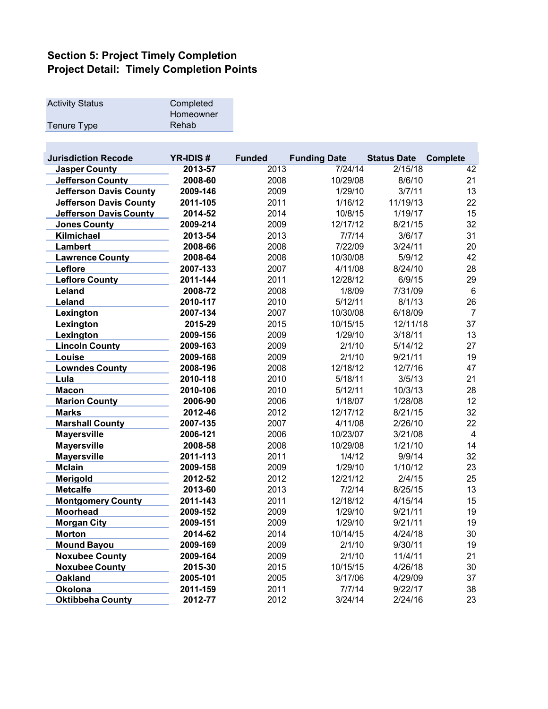| Completed<br>Homeowner |
|------------------------|
| Rehab                  |
|                        |

 $\mathcal{L}^{\text{max}}$ 

| <b>Jurisdiction Recode</b>    | <b>YR-IDIS#</b> | <b>Funded</b> | <b>Funding Date</b> | <b>Status Date</b> | <b>Complete</b> |
|-------------------------------|-----------------|---------------|---------------------|--------------------|-----------------|
| <b>Jasper County</b>          | 2013-57         | 2013          | 7/24/14             | 2/15/18            | 42              |
| <b>Jefferson County</b>       | 2008-60         | 2008          | 10/29/08            | 8/6/10             | 21              |
| <b>Jefferson Davis County</b> | 2009-146        | 2009          | 1/29/10             | 3/7/11             | 13              |
| <b>Jefferson Davis County</b> | 2011-105        | 2011          | 1/16/12             | 11/19/13           | 22              |
| <b>Jefferson Davis County</b> | 2014-52         | 2014          | 10/8/15             | 1/19/17            | 15              |
| <b>Jones County</b>           | 2009-214        | 2009          | 12/17/12            | 8/21/15            | 32              |
| Kilmichael                    | 2013-54         | 2013          | 7/7/14              | 3/6/17             | 31              |
| <b>Lambert</b>                | 2008-66         | 2008          | 7/22/09             | 3/24/11            | 20              |
| <b>Lawrence County</b>        | 2008-64         | 2008          | 10/30/08            | 5/9/12             | 42              |
| Leflore                       | 2007-133        | 2007          | 4/11/08             | 8/24/10            | 28              |
| <b>Leflore County</b>         | 2011-144        | 2011          | 12/28/12            | 6/9/15             | 29              |
| Leland                        | 2008-72         | 2008          | 1/8/09              | 7/31/09            | $6\phantom{1}6$ |
| Leland                        | 2010-117        | 2010          | 5/12/11             | 8/1/13             | 26              |
| Lexington                     | 2007-134        | 2007          | 10/30/08            | 6/18/09            | $\overline{7}$  |
| Lexington                     | 2015-29         | 2015          | 10/15/15            | 12/11/18           | 37              |
| Lexington                     | 2009-156        | 2009          | 1/29/10             | 3/18/11            | 13              |
| <b>Lincoln County</b>         | 2009-163        | 2009          | 2/1/10              | 5/14/12            | 27              |
| Louise                        | 2009-168        | 2009          | 2/1/10              | 9/21/11            | 19              |
| <b>Lowndes County</b>         | 2008-196        | 2008          | 12/18/12            | 12/7/16            | 47              |
| Lula                          | 2010-118        | 2010          | 5/18/11             | 3/5/13             | 21              |
| <b>Macon</b>                  | 2010-106        | 2010          | 5/12/11             | 10/3/13            | 28              |
| <b>Marion County</b>          | 2006-90         | 2006          | 1/18/07             | 1/28/08            | 12              |
| <b>Marks</b>                  | 2012-46         | 2012          | 12/17/12            | 8/21/15            | 32              |
| <b>Marshall County</b>        | 2007-135        | 2007          | 4/11/08             | 2/26/10            | 22              |
| <b>Mayersville</b>            | 2006-121        | 2006          | 10/23/07            | 3/21/08            | $\overline{4}$  |
| <b>Mayersville</b>            | 2008-58         | 2008          | 10/29/08            | 1/21/10            | 14              |
| <b>Mayersville</b>            | 2011-113        | 2011          | 1/4/12              | 9/9/14             | 32              |
| <b>Mclain</b>                 | 2009-158        | 2009          | 1/29/10             | 1/10/12            | 23              |
| Merigold                      | 2012-52         | 2012          | 12/21/12            | 2/4/15             | 25              |
| <b>Metcalfe</b>               | 2013-60         | 2013          | 7/2/14              | 8/25/15            | 13              |
| <b>Montgomery County</b>      | 2011-143        | 2011          | 12/18/12            | 4/15/14            | 15              |
| <b>Moorhead</b>               | 2009-152        | 2009          | 1/29/10             | 9/21/11            | 19              |
| <b>Morgan City</b>            | 2009-151        | 2009          | 1/29/10             | 9/21/11            | 19              |
| <b>Morton</b>                 | 2014-62         | 2014          | 10/14/15            | 4/24/18            | 30              |
| <b>Mound Bayou</b>            | 2009-169        | 2009          | 2/1/10              | 9/30/11            | 19              |
| <b>Noxubee County</b>         | 2009-164        | 2009          | 2/1/10              | 11/4/11            | 21              |
| <b>Noxubee County</b>         | 2015-30         | 2015          | 10/15/15            | 4/26/18            | 30              |
| <b>Oakland</b>                | 2005-101        | 2005          | 3/17/06             | 4/29/09            | 37              |
| <b>Okolona</b>                | 2011-159        | 2011          | 7/7/14              | 9/22/17            | 38              |
| <b>Oktibbeha County</b>       | 2012-77         | 2012          | 3/24/14             | 2/24/16            | 23              |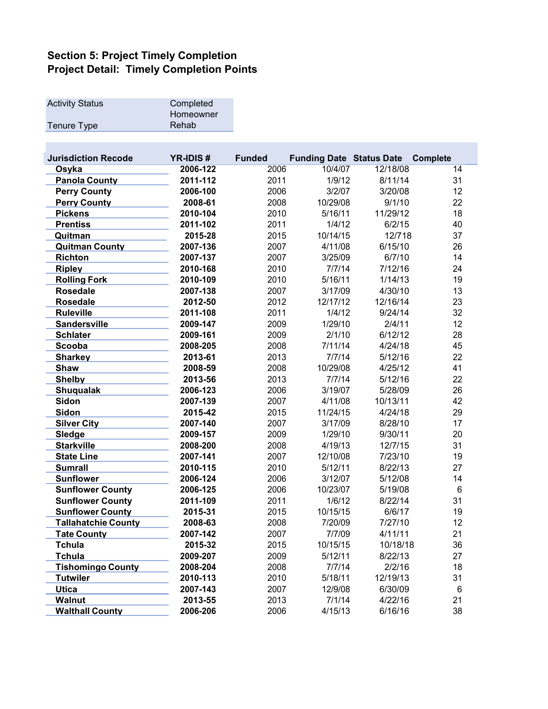| <b>Activity Status</b> | Completed |
|------------------------|-----------|
|                        | Homeowner |
| Tenure Type            | Rehab     |

| <b>Jurisdiction Recode</b> | <b>YR-IDIS#</b> | <b>Funded</b> | <b>Funding Date Status Date</b> |          | <b>Complete</b> |
|----------------------------|-----------------|---------------|---------------------------------|----------|-----------------|
| Osyka                      | 2006-122        | 2006          | 10/4/07                         | 12/18/08 | 14              |
| <b>Panola County</b>       | 2011-112        | 2011          | 1/9/12                          | 8/11/14  | 31              |
| <b>Perry County</b>        | 2006-100        | 2006          | 3/2/07                          | 3/20/08  | 12              |
| <b>Perry County</b>        | 2008-61         | 2008          | 10/29/08                        | 9/1/10   | 22              |
| <b>Pickens</b>             | 2010-104        | 2010          | 5/16/11                         | 11/29/12 | 18              |
| <b>Prentiss</b>            | 2011-102        | 2011          | 1/4/12                          | 6/2/15   | 40              |
| Quitman                    | 2015-28         | 2015          | 10/14/15                        | 12/718   | 37              |
| <b>Quitman County</b>      | 2007-136        | 2007          | 4/11/08                         | 6/15/10  | 26              |
| <b>Richton</b>             | 2007-137        | 2007          | 3/25/09                         | 6/7/10   | 14              |
| <b>Ripley</b>              | 2010-168        | 2010          | 7/7/14                          | 7/12/16  | 24              |
| <b>Rolling Fork</b>        | 2010-109        | 2010          | 5/16/11                         | 1/14/13  | 19              |
| <b>Rosedale</b>            | 2007-138        | 2007          | 3/17/09                         | 4/30/10  | 13              |
| <b>Rosedale</b>            | 2012-50         | 2012          | 12/17/12                        | 12/16/14 | 23              |
| <b>Ruleville</b>           | 2011-108        | 2011          | 1/4/12                          | 9/24/14  | 32              |
| <b>Sandersville</b>        | 2009-147        | 2009          | 1/29/10                         | 2/4/11   | 12              |
| <b>Schlater</b>            | 2009-161        | 2009          | 2/1/10                          | 6/12/12  | 28              |
| Scooba                     | 2008-205        | 2008          | 7/11/14                         | 4/24/18  | 45              |
| <b>Sharkey</b>             | 2013-61         | 2013          | 7/7/14                          | 5/12/16  | 22              |
| <b>Shaw</b>                | 2008-59         | 2008          | 10/29/08                        | 4/25/12  | 41              |
| <b>Shelby</b>              | 2013-56         | 2013          | 7/7/14                          | 5/12/16  | 22              |
| <b>Shuqualak</b>           | 2006-123        | 2006          | 3/19/07                         | 5/28/09  | 26              |
| <b>Sidon</b>               | 2007-139        | 2007          | 4/11/08                         | 10/13/11 | 42              |
| <b>Sidon</b>               | 2015-42         | 2015          | 11/24/15                        | 4/24/18  | 29              |
| <b>Silver City</b>         | 2007-140        | 2007          | 3/17/09                         | 8/28/10  | 17              |
| Sledge                     | 2009-157        | 2009          | 1/29/10                         | 9/30/11  | 20              |
| <b>Starkville</b>          | 2008-200        | 2008          | 4/19/13                         | 12/7/15  | 31              |
| <b>State Line</b>          | 2007-141        | 2007          | 12/10/08                        | 7/23/10  | 19              |
| <b>Sumrall</b>             | 2010-115        | 2010          | 5/12/11                         | 8/22/13  | 27              |
| <b>Sunflower</b>           | 2006-124        | 2006          | 3/12/07                         | 5/12/08  | 14              |
| <b>Sunflower County</b>    | 2006-125        | 2006          | 10/23/07                        | 5/19/08  | $\,6\,$         |
| <b>Sunflower County</b>    | 2011-109        | 2011          | 1/6/12                          | 8/22/14  | 31              |
| <b>Sunflower County</b>    | 2015-31         | 2015          | 10/15/15                        | 6/6/17   | 19              |
| <b>Tallahatchie County</b> | 2008-63         | 2008          | 7/20/09                         | 7/27/10  | 12              |
| <b>Tate County</b>         | 2007-142        | 2007          | 7/7/09                          | 4/11/11  | 21              |
| <b>Tchula</b>              | 2015-32         | 2015          | 10/15/15                        | 10/18/18 | 36              |
| <b>Tchula</b>              | 2009-207        | 2009          | 5/12/11                         | 8/22/13  | 27              |
| <b>Tishomingo County</b>   | 2008-204        | 2008          | 7/7/14                          | 2/2/16   | 18              |
| <b>Tutwiler</b>            | 2010-113        | 2010          | 5/18/11                         | 12/19/13 | 31              |
| <b>Utica</b>               | 2007-143        | 2007          | 12/9/08                         | 6/30/09  | $\,6\,$         |
| <b>Walnut</b>              | 2013-55         | 2013          | 7/1/14                          | 4/22/16  | 21              |
| <b>Walthall County</b>     | 2006-206        | 2006          | 4/15/13                         | 6/16/16  | 38              |